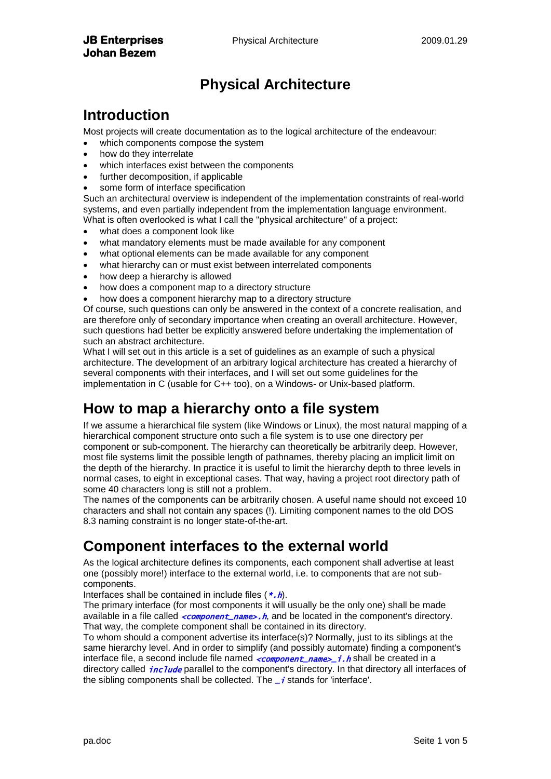## **Physical Architecture**

#### **Introduction**

Most projects will create documentation as to the logical architecture of the endeavour:

- which components compose the system
- how do they interrelate
- which interfaces exist between the components
- further decomposition, if applicable
- some form of interface specification

Such an architectural overview is independent of the implementation constraints of real-world systems, and even partially independent from the implementation language environment. What is often overlooked is what I call the "physical architecture" of a project:

- what does a component look like
- what mandatory elements must be made available for any component
- what optional elements can be made available for any component
- what hierarchy can or must exist between interrelated components
- how deep a hierarchy is allowed
- how does a component map to a directory structure
- how does a component hierarchy map to a directory structure

Of course, such questions can only be answered in the context of a concrete realisation, and are therefore only of secondary importance when creating an overall architecture. However, such questions had better be explicitly answered before undertaking the implementation of such an abstract architecture.

What I will set out in this article is a set of guidelines as an example of such a physical architecture. The development of an arbitrary logical architecture has created a hierarchy of several components with their interfaces, and I will set out some guidelines for the implementation in C (usable for C++ too), on a Windows- or Unix-based platform.

#### **How to map a hierarchy onto a file system**

If we assume a hierarchical file system (like Windows or Linux), the most natural mapping of a hierarchical component structure onto such a file system is to use one directory per component or sub-component. The hierarchy can theoretically be arbitrarily deep. However, most file systems limit the possible length of pathnames, thereby placing an implicit limit on the depth of the hierarchy. In practice it is useful to limit the hierarchy depth to three levels in normal cases, to eight in exceptional cases. That way, having a project root directory path of some 40 characters long is still not a problem.

The names of the components can be arbitrarily chosen. A useful name should not exceed 10 characters and shall not contain any spaces (!). Limiting component names to the old DOS 8.3 naming constraint is no longer state-of-the-art.

#### **Component interfaces to the external world**

As the logical architecture defines its components, each component shall advertise at least one (possibly more!) interface to the external world, i.e. to components that are not subcomponents.

Interfaces shall be contained in include files  $(*.h)$ .

The primary interface (for most components it will usually be the only one) shall be made available in a file called  $\leq$  component\_name>. h, and be located in the component's directory. That way, the complete component shall be contained in its directory.

To whom should a component advertise its interface(s)? Normally, just to its siblings at the same hierarchy level. And in order to simplify (and possibly automate) finding a component's interface file, a second include file named  $\langle \textit{component\_name} \rangle$  i. h shall be created in a directory called *include* parallel to the component's directory. In that directory all interfaces of the sibling components shall be collected. The  $-i$  stands for 'interface'.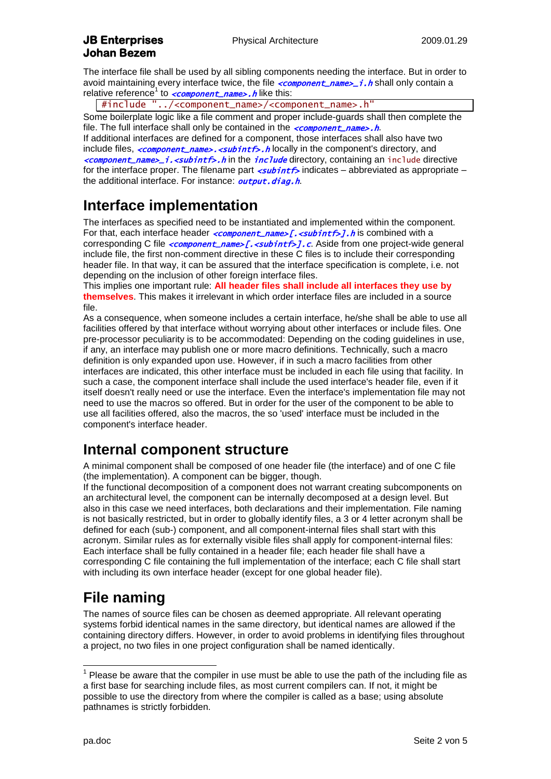The interface file shall be used by all sibling components needing the interface. But in order to avoid maintaining every interface twice, the file  $\leq$ component\_name>\_i.h shall only contain a relative reference<sup>1</sup> to *<component\_name>.h* like this:

#include "../<component\_name>/<component\_name>.h"

Some boilerplate logic like a file comment and proper include-guards shall then complete the file. The full interface shall only be contained in the  $\langle \textit{component\_name>} \cdot \textit{h} \rangle$ . If additional interfaces are defined for a component, those interfaces shall also have two include files,  $\langle \textit{component\_name>} \cdot \langle \textit{subint} \rangle$ .h locally in the component's directory, and <component\_name>\_i.<subintf>.h in the include directory, containing an include directive for the interface proper. The filename part  $\leq$ **ubintf**> indicates – abbreviated as appropriate – the additional interface. For instance: *output.diag.h.* 

## **Interface implementation**

The interfaces as specified need to be instantiated and implemented within the component. For that, each interface header  $\leq$ component\_name>[. $\leq$ subintf>]. h is combined with a corresponding C file  $\leq$ component\_name>[. $\leq$ ubintf>].c. Aside from one project-wide general include file, the first non-comment directive in these C files is to include their corresponding header file. In that way, it can be assured that the interface specification is complete, i.e. not depending on the inclusion of other foreign interface files.

This implies one important rule: **All header files shall include all interfaces they use by themselves**. This makes it irrelevant in which order interface files are included in a source file.

As a consequence, when someone includes a certain interface, he/she shall be able to use all facilities offered by that interface without worrying about other interfaces or include files. One pre-processor peculiarity is to be accommodated: Depending on the coding guidelines in use, if any, an interface may publish one or more macro definitions. Technically, such a macro definition is only expanded upon use. However, if in such a macro facilities from other interfaces are indicated, this other interface must be included in each file using that facility. In such a case, the component interface shall include the used interface's header file, even if it itself doesn't really need or use the interface. Even the interface's implementation file may not need to use the macros so offered. But in order for the user of the component to be able to use all facilities offered, also the macros, the so 'used' interface must be included in the component's interface header.

#### **Internal component structure**

A minimal component shall be composed of one header file (the interface) and of one C file (the implementation). A component can be bigger, though.

If the functional decomposition of a component does not warrant creating subcomponents on an architectural level, the component can be internally decomposed at a design level. But also in this case we need interfaces, both declarations and their implementation. File naming is not basically restricted, but in order to globally identify files, a 3 or 4 letter acronym shall be defined for each (sub-) component, and all component-internal files shall start with this acronym. Similar rules as for externally visible files shall apply for component-internal files: Each interface shall be fully contained in a header file; each header file shall have a corresponding C file containing the full implementation of the interface; each C file shall start with including its own interface header (except for one global header file).

#### **File naming**

The names of source files can be chosen as deemed appropriate. All relevant operating systems forbid identical names in the same directory, but identical names are allowed if the containing directory differs. However, in order to avoid problems in identifying files throughout a project, no two files in one project configuration shall be named identically.

<sup>————————————————————&</sup>lt;br><sup>1</sup> Please be aware that the compiler in use must be able to use the path of the including file as a first base for searching include files, as most current compilers can. If not, it might be possible to use the directory from where the compiler is called as a base; using absolute pathnames is strictly forbidden.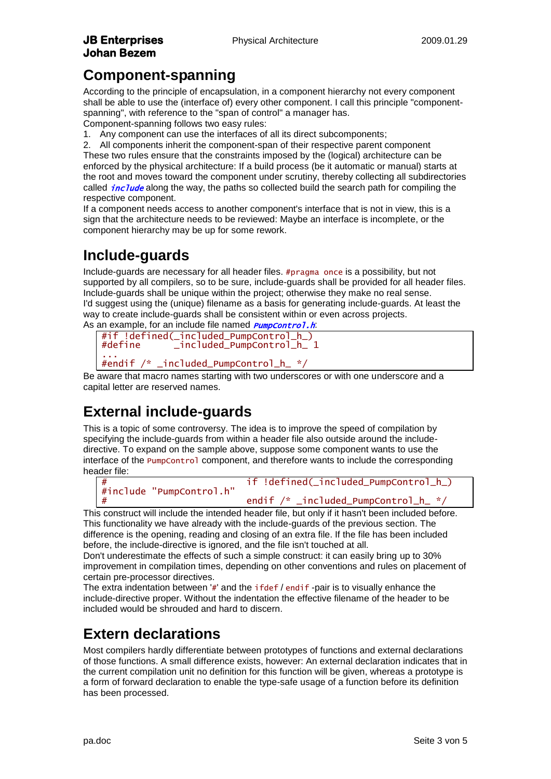#### **Component-spanning**

According to the principle of encapsulation, in a component hierarchy not every component shall be able to use the (interface of) every other component. I call this principle "componentspanning", with reference to the "span of control" a manager has.

Component-spanning follows two easy rules:

1. Any component can use the interfaces of all its direct subcomponents;

2. All components inherit the component-span of their respective parent component These two rules ensure that the constraints imposed by the (logical) architecture can be enforced by the physical architecture: If a build process (be it automatic or manual) starts at the root and moves toward the component under scrutiny, thereby collecting all subdirectories called  $incIude$  along the way, the paths so collected build the search path for compiling the respective component.

If a component needs access to another component's interface that is not in view, this is a sign that the architecture needs to be reviewed: Maybe an interface is incomplete, or the component hierarchy may be up for some rework.

## **Include-guards**

Include-guards are necessary for all header files. #pragma once is a possibility, but not supported by all compilers, so to be sure, include-guards shall be provided for all header files. Include-guards shall be unique within the project; otherwise they make no real sense. I'd suggest using the (unique) filename as a basis for generating include-guards. At least the way to create include-guards shall be consistent within or even across projects. As an example, for an include file named **PumpControl.h:** 

```
#if !defined(_included_PumpControl_h_)
            included_PumpControl_h_1...
#endif /* _included_PumpControl_h_ */
```
Be aware that macro names starting with two underscores or with one underscore and a capital letter are reserved names.

## **External include-guards**

This is a topic of some controversy. The idea is to improve the speed of compilation by specifying the include-guards from within a header file also outside around the includedirective. To expand on the sample above, suppose some component wants to use the interface of the PumpControl component, and therefore wants to include the corresponding header file:



This construct will include the intended header file, but only if it hasn't been included before. This functionality we have already with the include-guards of the previous section. The difference is the opening, reading and closing of an extra file. If the file has been included before, the include-directive is ignored, and the file isn't touched at all.

Don't underestimate the effects of such a simple construct: it can easily bring up to 30% improvement in compilation times, depending on other conventions and rules on placement of certain pre-processor directives.

The extra indentation between '#' and the ifdef / endif -pair is to visually enhance the include-directive proper. Without the indentation the effective filename of the header to be included would be shrouded and hard to discern.

#### **Extern declarations**

Most compilers hardly differentiate between prototypes of functions and external declarations of those functions. A small difference exists, however: An external declaration indicates that in the current compilation unit no definition for this function will be given, whereas a prototype is a form of forward declaration to enable the type-safe usage of a function before its definition has been processed.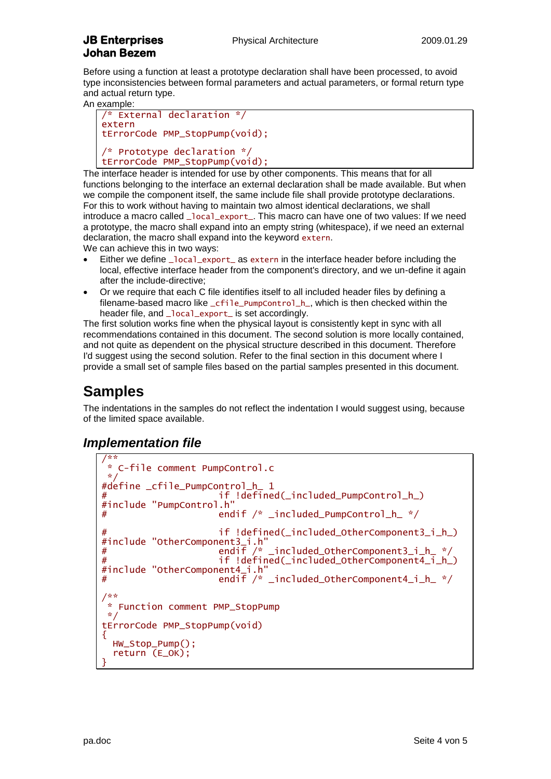# **Johan Bezem**

Before using a function at least a prototype declaration shall have been processed, to avoid type inconsistencies between formal parameters and actual parameters, or formal return type and actual return type.

An example:

```
/* External declaration */
extern
tErrorCode PMP_StopPump(void);
/* Prototype declaration */
tErrorCode PMP_StopPump(void);
```
The interface header is intended for use by other components. This means that for all functions belonging to the interface an external declaration shall be made available. But when we compile the component itself, the same include file shall provide prototype declarations. For this to work without having to maintain two almost identical declarations, we shall introduce a macro called \_local\_export\_. This macro can have one of two values: If we need a prototype, the macro shall expand into an empty string (whitespace), if we need an external declaration, the macro shall expand into the keyword extern.

We can achieve this in two ways:

- Either we define \_local\_export\_ as extern in the interface header before including the local, effective interface header from the component's directory, and we un-define it again after the include-directive;
- Or we require that each C file identifies itself to all included header files by defining a filename-based macro like \_cfile\_PumpControl\_h\_, which is then checked within the header file, and local export is set accordingly.

The first solution works fine when the physical layout is consistently kept in sync with all recommendations contained in this document. The second solution is more locally contained, and not quite as dependent on the physical structure described in this document. Therefore I'd suggest using the second solution. Refer to the final section in this document where I provide a small set of sample files based on the partial samples presented in this document.

#### **Samples**

The indentations in the samples do not reflect the indentation I would suggest using, because of the limited space available.

#### *Implementation file*

```
/**
   C-file comment PumpControl.c
 */
#define _cfile_PumpControl_h_ 1
                        if !defined(_included_PumpControl_h_)
#include "PumpControl.h"
                        endif /* _included_PumpControl_h_ */
                        if !defined(_included_OtherComponent3_i_h_)
#include "OtherComponent3_i.h"<br># endif /*
# endif /* _included_OtherComponent3_i_h_ */<br># endif /* _included_OtherComponent4 i h<br># if !defined( included OtherComponent4 i h
                        if !defined(_included_OtherComponent4_i_h_)
#include "OtherComponent4_i.h"
# endif /* included otherComponent4 i h */
/**
 * Function comment PMP_StopPump
 */
tErrorCode PMP_StopPump(void)
{
   HW_Stop_Pump();
  return (E_OK);
}
```